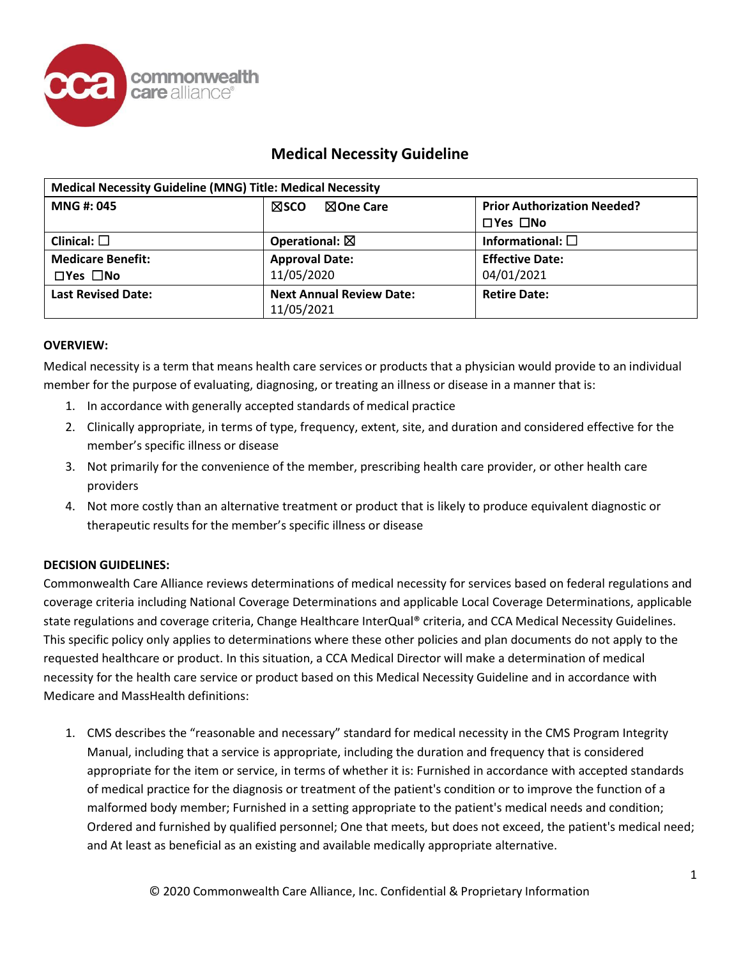

# **Medical Necessity Guideline**

| <b>Medical Necessity Guideline (MNG) Title: Medical Necessity</b> |                                               |                                    |
|-------------------------------------------------------------------|-----------------------------------------------|------------------------------------|
| <b>MNG#: 045</b>                                                  | <b>NOne Care</b><br>⊠sco                      | <b>Prior Authorization Needed?</b> |
|                                                                   |                                               | $\Box$ Yes $\Box$ No               |
| Clinical: $\square$                                               | Operational: $\boxtimes$                      | Informational: $\square$           |
| <b>Medicare Benefit:</b>                                          | <b>Approval Date:</b>                         | <b>Effective Date:</b>             |
| $\Box$ Yes $\Box$ No                                              | 11/05/2020                                    | 04/01/2021                         |
| <b>Last Revised Date:</b>                                         | <b>Next Annual Review Date:</b><br>11/05/2021 | <b>Retire Date:</b>                |

### **OVERVIEW:**

Medical necessity is a term that means health care services or products that a physician would provide to an individual member for the purpose of evaluating, diagnosing, or treating an illness or disease in a manner that is:

- 1. In accordance with generally accepted standards of medical practice
- 2. Clinically appropriate, in terms of type, frequency, extent, site, and duration and considered effective for the member's specific illness or disease
- 3. Not primarily for the convenience of the member, prescribing health care provider, or other health care providers
- 4. Not more costly than an alternative treatment or product that is likely to produce equivalent diagnostic or therapeutic results for the member's specific illness or disease

## **DECISION GUIDELINES:**

Commonwealth Care Alliance reviews determinations of medical necessity for services based on federal regulations and coverage criteria including National Coverage Determinations and applicable Local Coverage Determinations, applicable state regulations and coverage criteria, Change Healthcare InterQual® criteria, and CCA Medical Necessity Guidelines. This specific policy only applies to determinations where these other policies and plan documents do not apply to the requested healthcare or product. In this situation, a CCA Medical Director will make a determination of medical necessity for the health care service or product based on this Medical Necessity Guideline and in accordance with Medicare and MassHealth definitions:

1. CMS describes the "reasonable and necessary" standard for medical necessity in the CMS Program Integrity Manual, including that a service is appropriate, including the duration and frequency that is considered appropriate for the item or service, in terms of whether it is: Furnished in accordance with accepted standards of medical practice for the diagnosis or treatment of the patient's condition or to improve the function of a malformed body member; Furnished in a setting appropriate to the patient's medical needs and condition; Ordered and furnished by qualified personnel; One that meets, but does not exceed, the patient's medical need; and At least as beneficial as an existing and available medically appropriate alternative.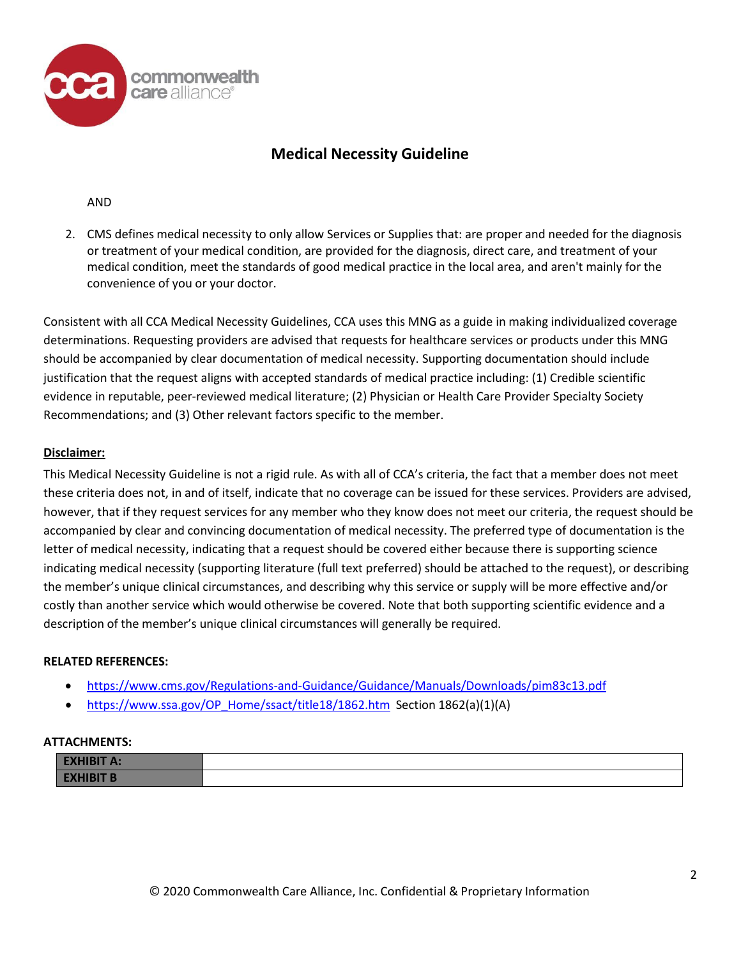

# **Medical Necessity Guideline**

### AND

2. CMS defines medical necessity to only allow Services or Supplies that: are proper and needed for the diagnosis or treatment of your medical condition, are provided for the diagnosis, direct care, and treatment of your medical condition, meet the standards of good medical practice in the local area, and aren't mainly for the convenience of you or your doctor.

Consistent with all CCA Medical Necessity Guidelines, CCA uses this MNG as a guide in making individualized coverage determinations. Requesting providers are advised that requests for healthcare services or products under this MNG should be accompanied by clear documentation of medical necessity. Supporting documentation should include justification that the request aligns with accepted standards of medical practice including: (1) Credible scientific evidence in reputable, peer-reviewed medical literature; (2) Physician or Health Care Provider Specialty Society Recommendations; and (3) Other relevant factors specific to the member.

## **Disclaimer:**

This Medical Necessity Guideline is not a rigid rule. As with all of CCA's criteria, the fact that a member does not meet these criteria does not, in and of itself, indicate that no coverage can be issued for these services. Providers are advised, however, that if they request services for any member who they know does not meet our criteria, the request should be accompanied by clear and convincing documentation of medical necessity. The preferred type of documentation is the letter of medical necessity, indicating that a request should be covered either because there is supporting science indicating medical necessity (supporting literature (full text preferred) should be attached to the request), or describing the member's unique clinical circumstances, and describing why this service or supply will be more effective and/or costly than another service which would otherwise be covered. Note that both supporting scientific evidence and a description of the member's unique clinical circumstances will generally be required.

### **RELATED REFERENCES:**

- <https://www.cms.gov/Regulations-and-Guidance/Guidance/Manuals/Downloads/pim83c13.pdf>
- [https://www.ssa.gov/OP\\_Home/ssact/title18/1862.htm](https://www.ssa.gov/OP_Home/ssact/title18/1862.htm) Section 1862(a)(1)(A)

### **ATTACHMENTS:**

| <b>EXHIBIT A:</b> |  |
|-------------------|--|
| <b>EXHIBIT B</b>  |  |